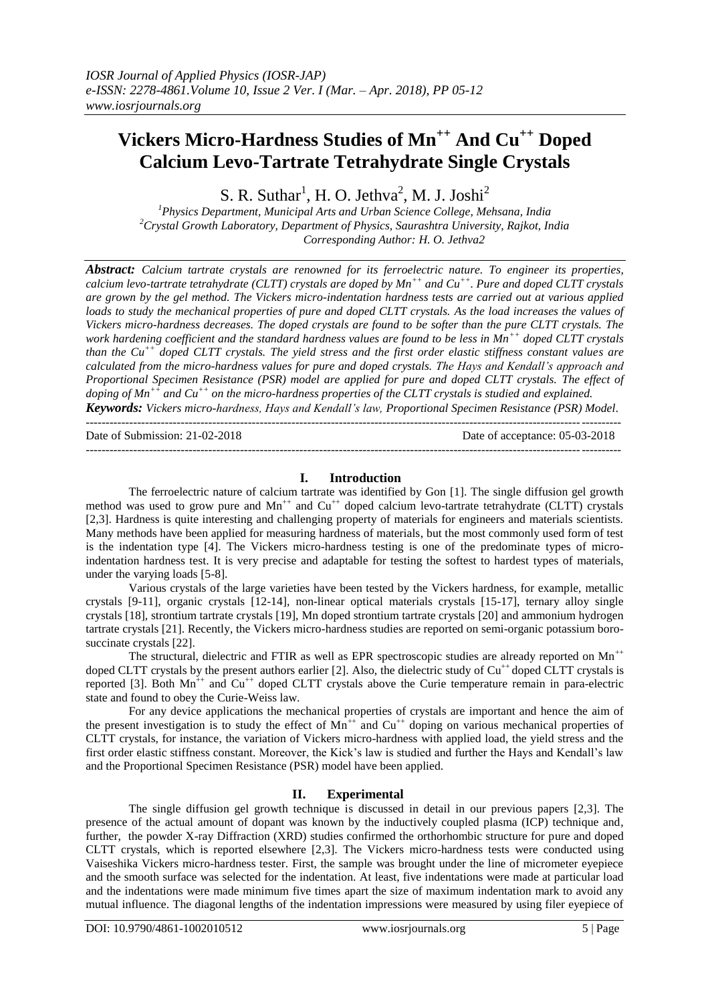# **Vickers Micro-Hardness Studies of Mn++ And Cu++ Doped Calcium Levo-Tartrate Tetrahydrate Single Crystals**

S. R. Suthar<sup>1</sup>, H. O. Jethva<sup>2</sup>, M. J. Joshi<sup>2</sup>

*<sup>1</sup>Physics Department, Municipal Arts and Urban Science College, Mehsana, India <sup>2</sup>Crystal Growth Laboratory, Department of Physics, Saurashtra University, Rajkot, India Corresponding Author: H. O. Jethva2*

*Abstract: Calcium tartrate crystals are renowned for its ferroelectric nature. To engineer its properties, calcium levo-tartrate tetrahydrate (CLTT) crystals are doped by Mn++ and Cu++. Pure and doped CLTT crystals are grown by the gel method. The Vickers micro-indentation hardness tests are carried out at various applied*  loads to study the mechanical properties of pure and doped CLTT crystals. As the load increases the values of *Vickers micro-hardness decreases. The doped crystals are found to be softer than the pure CLTT crystals. The work hardening coefficient and the standard hardness values are found to be less in Mn++ doped CLTT crystals than the Cu++ doped CLTT crystals. The yield stress and the first order elastic stiffness constant values are calculated from the micro-hardness values for pure and doped crystals. The Hays and Kendall's approach and Proportional Specimen Resistance (PSR) model are applied for pure and doped CLTT crystals. The effect of doping of Mn++ and Cu++ on the micro-hardness properties of the CLTT crystals is studied and explained. Keywords: Vickers micro-hardness, Hays and Kendall's law, Proportional Specimen Resistance (PSR) Model.*

---------------------------------------------------------------------------------------------------------------------------------------

Date of Submission: 21-02-2018 Date of acceptance: 05-03-2018

## **I. Introduction**

---------------------------------------------------------------------------------------------------------------------------------------

The ferroelectric nature of calcium tartrate was identified by Gon [1]. The single diffusion gel growth method was used to grow pure and  $Mn^{++}$  and  $Cu^{++}$  doped calcium levo-tartrate tetrahydrate (CLTT) crystals [2,3]. Hardness is quite interesting and challenging property of materials for engineers and materials scientists. Many methods have been applied for measuring hardness of materials, but the most commonly used form of test is the indentation type [4]. The Vickers micro-hardness testing is one of the predominate types of microindentation hardness test. It is very precise and adaptable for testing the softest to hardest types of materials, under the varying loads [5-8].

Various crystals of the large varieties have been tested by the Vickers hardness, for example, metallic crystals [9-11], organic crystals [12-14], non-linear optical materials crystals [15-17], ternary alloy single crystals [18], strontium tartrate crystals [19], Mn doped strontium tartrate crystals [20] and ammonium hydrogen tartrate crystals [21]. Recently, the Vickers micro-hardness studies are reported on semi-organic potassium borosuccinate crystals [22].

The structural, dielectric and FTIR as well as EPR spectroscopic studies are already reported on  $Mn^{++}$ doped CLTT crystals by the present authors earlier [2]. Also, the dielectric study of  $Cu^{++}$  doped CLTT crystals is reported [3]. Both  $Mn^{++}$  and  $Cu^{++}$  doped CLTT crystals above the Curie temperature remain in para-electric state and found to obey the Curie-Weiss law.

For any device applications the mechanical properties of crystals are important and hence the aim of the present investigation is to study the effect of  $Mn^{++}$  and  $Cu^{++}$  doping on various mechanical properties of CLTT crystals, for instance, the variation of Vickers micro-hardness with applied load, the yield stress and the first order elastic stiffness constant. Moreover, the Kick's law is studied and further the Hays and Kendall's law and the Proportional Specimen Resistance (PSR) model have been applied.

## **II. Experimental**

The single diffusion gel growth technique is discussed in detail in our previous papers [2,3]. The presence of the actual amount of dopant was known by the inductively coupled plasma (ICP) technique and, further, the powder X-ray Diffraction (XRD) studies confirmed the orthorhombic structure for pure and doped CLTT crystals, which is reported elsewhere [2,3]. The Vickers micro-hardness tests were conducted using Vaiseshika Vickers micro-hardness tester. First, the sample was brought under the line of micrometer eyepiece and the smooth surface was selected for the indentation. At least, five indentations were made at particular load and the indentations were made minimum five times apart the size of maximum indentation mark to avoid any mutual influence. The diagonal lengths of the indentation impressions were measured by using filer eyepiece of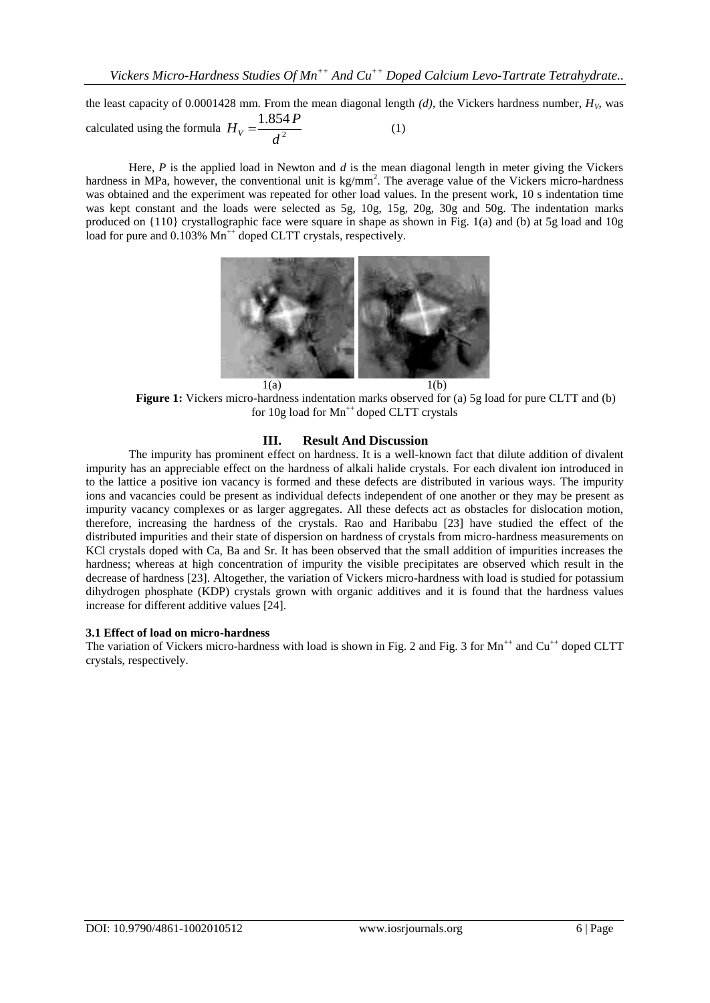the least capacity of 0.0001428 mm. From the mean diagonal length  $(d)$ , the Vickers hardness number,  $H_V$ , was calculated using the formula  $H_V = \frac{2\pi}{d^2}$ 1.854 *d*  $H_V = \frac{1.854 P}{I^2}$  (1)

Here, *P* is the applied load in Newton and *d* is the mean diagonal length in meter giving the Vickers hardness in MPa, however, the conventional unit is  $kg/mm^2$ . The average value of the Vickers micro-hardness was obtained and the experiment was repeated for other load values. In the present work, 10 s indentation time was kept constant and the loads were selected as 5g, 10g, 15g, 20g, 30g and 50g. The indentation marks produced on {110} crystallographic face were square in shape as shown in Fig. 1(a) and (b) at 5g load and 10g load for pure and 0.103% Mn<sup>++</sup> doped CLTT crystals, respectively.



**Figure 1:** Vickers micro-hardness indentation marks observed for (a) 5g load for pure CLTT and (b) for  $10g$  load for  $Mn^{++}$  doped CLTT crystals

#### **III. Result And Discussion**

The impurity has prominent effect on hardness. It is a well-known fact that dilute addition of divalent impurity has an appreciable effect on the hardness of alkali halide crystals. For each divalent ion introduced in to the lattice a positive ion vacancy is formed and these defects are distributed in various ways. The impurity ions and vacancies could be present as individual defects independent of one another or they may be present as impurity vacancy complexes or as larger aggregates. All these defects act as obstacles for dislocation motion, therefore, increasing the hardness of the crystals. Rao and Haribabu [23] have studied the effect of the distributed impurities and their state of dispersion on hardness of crystals from micro-hardness measurements on KCl crystals doped with Ca, Ba and Sr. It has been observed that the small addition of impurities increases the hardness; whereas at high concentration of impurity the visible precipitates are observed which result in the decrease of hardness [23]. Altogether, the variation of Vickers micro-hardness with load is studied for potassium dihydrogen phosphate (KDP) crystals grown with organic additives and it is found that the hardness values increase for different additive values [24].

#### **3.1 Effect of load on micro-hardness**

The variation of Vickers micro-hardness with load is shown in Fig. 2 and Fig. 3 for  $Mn^{++}$  and Cu<sup>++</sup> doped CLTT crystals, respectively.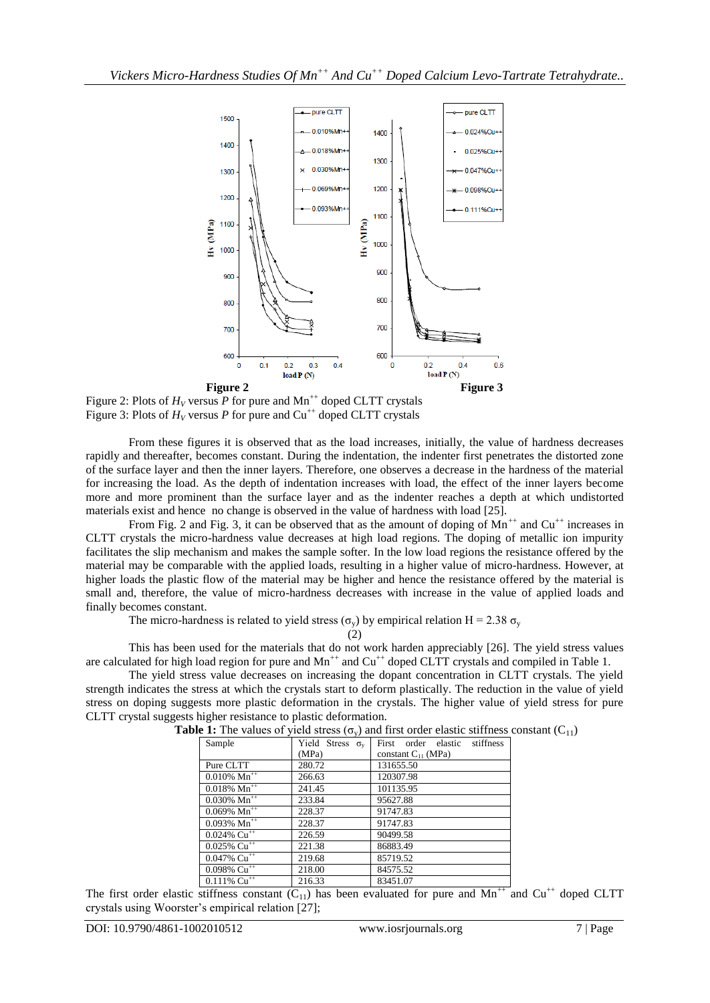

Figure 2: Plots of  $H_V$  versus P for pure and Mn<sup>++</sup> doped CLTT crystals Figure 3: Plots of  $H_V$  versus P for pure and Cu<sup>++</sup> doped CLTT crystals

From these figures it is observed that as the load increases, initially, the value of hardness decreases rapidly and thereafter, becomes constant. During the indentation, the indenter first penetrates the distorted zone of the surface layer and then the inner layers. Therefore, one observes a decrease in the hardness of the material for increasing the load. As the depth of indentation increases with load, the effect of the inner layers become more and more prominent than the surface layer and as the indenter reaches a depth at which undistorted materials exist and hence no change is observed in the value of hardness with load [25].

From Fig. 2 and Fig. 3, it can be observed that as the amount of doping of  $Mn^{+}$  and  $Cu^{++}$  increases in CLTT crystals the micro-hardness value decreases at high load regions. The doping of metallic ion impurity facilitates the slip mechanism and makes the sample softer. In the low load regions the resistance offered by the material may be comparable with the applied loads, resulting in a higher value of micro-hardness. However, at higher loads the plastic flow of the material may be higher and hence the resistance offered by the material is small and, therefore, the value of micro-hardness decreases with increase in the value of applied loads and finally becomes constant.

The micro-hardness is related to yield stress ( $\sigma_v$ ) by empirical relation H = 2.38  $\sigma_v$ 

(2)

This has been used for the materials that do not work harden appreciably [26]. The yield stress values are calculated for high load region for pure and  $Mn^{++}$  and  $Cu^{++}$  doped CLTT crystals and compiled in Table 1.

The yield stress value decreases on increasing the dopant concentration in CLTT crystals. The yield strength indicates the stress at which the crystals start to deform plastically. The reduction in the value of yield stress on doping suggests more plastic deformation in the crystals. The higher value of yield stress for pure CLTT crystal suggests higher resistance to plastic deformation.

| Sample                                | Yield Stress $\sigma_{v}$ | order elastic<br>stiffness<br>First |  |
|---------------------------------------|---------------------------|-------------------------------------|--|
|                                       | (MPa)                     | constant $C_{11}$ (MPa)             |  |
| Pure CLTT                             | 280.72                    | 131655.50                           |  |
| $0.010\%$ Mn <sup>++</sup>            | 266.63                    | 120307.98                           |  |
| $0.018\%$ Mn <sup>++</sup>            | 241.45                    | 101135.95                           |  |
| $0.030\%$ Mn <sup>++</sup>            | 233.84                    | 95627.88                            |  |
| $0.069\%$ Mn <sup>++</sup>            | 228.37                    | 91747.83                            |  |
| $0.093\%$ Mn <sup>++</sup>            | 228.37                    | 91747.83                            |  |
| $0.024\%$ Cu <sup>++</sup>            | 226.59                    | 90499.58                            |  |
| $0.025\%$ Cu <sup>++</sup>            | 221.38                    | 86883.49                            |  |
| $0.047\sqrt{6}$ Cu <sup>++</sup>      | 219.68                    | 85719.52                            |  |
| $0.098\% \ \overline{\text{Cu}^{++}}$ | 218.00                    | 84575.52                            |  |
| $0.111\%$ Cu <sup>++</sup>            | 216.33                    | 83451.07                            |  |

**Table 1:** The values of yield stress  $(\sigma_v)$  and first order elastic stiffness constant  $(C_{11})$ 

The first order elastic stiffness constant  $(C_{11})$  has been evaluated for pure and  $Mn^{++}$  and  $Cu^{++}$  doped CLTT crystals using Woorster's empirical relation [27];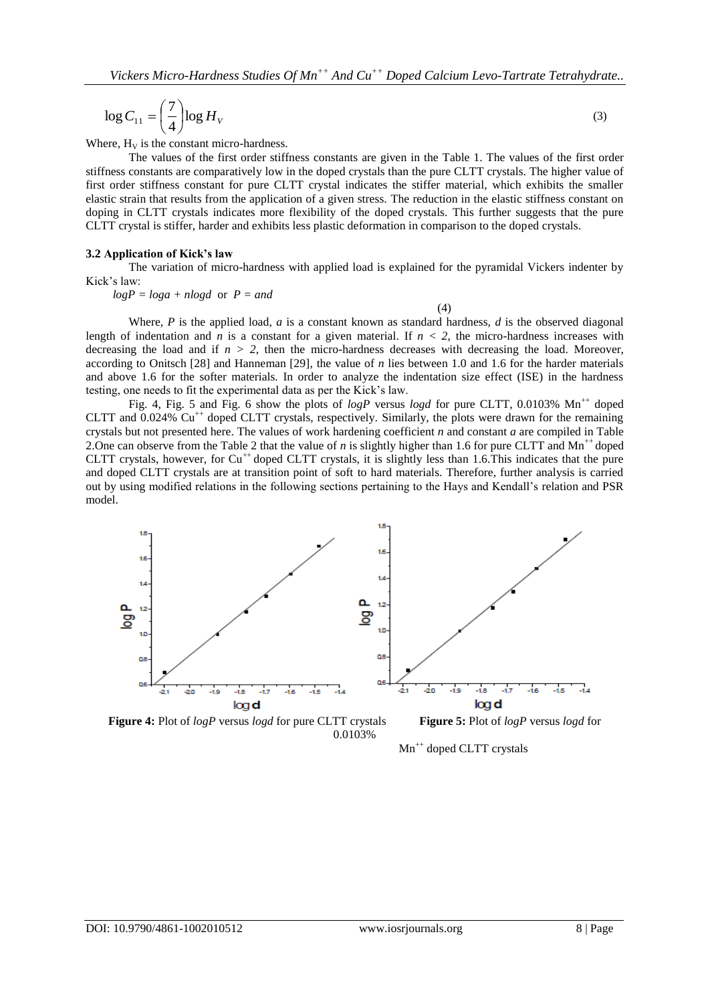$$
\log C_{11} = \left(\frac{7}{4}\right) \log H_V \tag{3}
$$

Where,  $H_V$  is the constant micro-hardness.

The values of the first order stiffness constants are given in the Table 1. The values of the first order stiffness constants are comparatively low in the doped crystals than the pure CLTT crystals. The higher value of first order stiffness constant for pure CLTT crystal indicates the stiffer material, which exhibits the smaller elastic strain that results from the application of a given stress. The reduction in the elastic stiffness constant on doping in CLTT crystals indicates more flexibility of the doped crystals. This further suggests that the pure CLTT crystal is stiffer, harder and exhibits less plastic deformation in comparison to the doped crystals.

#### **3.2 Application of Kick's law**

The variation of micro-hardness with applied load is explained for the pyramidal Vickers indenter by Kick's law:

*logP = loga + nlogd* or *P = and*

(4)

Where, *P* is the applied load, *a* is a constant known as standard hardness, *d* is the observed diagonal length of indentation and *n* is a constant for a given material. If  $n < 2$ , the micro-hardness increases with decreasing the load and if  $n > 2$ , then the micro-hardness decreases with decreasing the load. Moreover, according to Onitsch  $[28]$  and Hanneman  $[29]$ , the value of *n* lies between 1.0 and 1.6 for the harder materials and above 1.6 for the softer materials. In order to analyze the indentation size effect (ISE) in the hardness testing, one needs to fit the experimental data as per the Kick's law.

Fig. 4, Fig. 5 and Fig. 6 show the plots of  $logP$  versus  $logd$  for pure CLTT, 0.0103% Mn<sup>++</sup> doped CLTT and  $0.024\%$  Cu<sup>++</sup> doped CLTT crystals, respectively. Similarly, the plots were drawn for the remaining crystals but not presented here. The values of work hardening coefficient *n* and constant *a* are compiled in Table 2. One can observe from the Table 2 that the value of *n* is slightly higher than 1.6 for pure CLTT and Mn<sup>++</sup> doped CLTT crystals, however, for  $Cu^{++}$  doped CLTT crystals, it is slightly less than 1.6. This indicates that the pure and doped CLTT crystals are at transition point of soft to hard materials. Therefore, further analysis is carried out by using modified relations in the following sections pertaining to the Hays and Kendall's relation and PSR model.



0.0103%

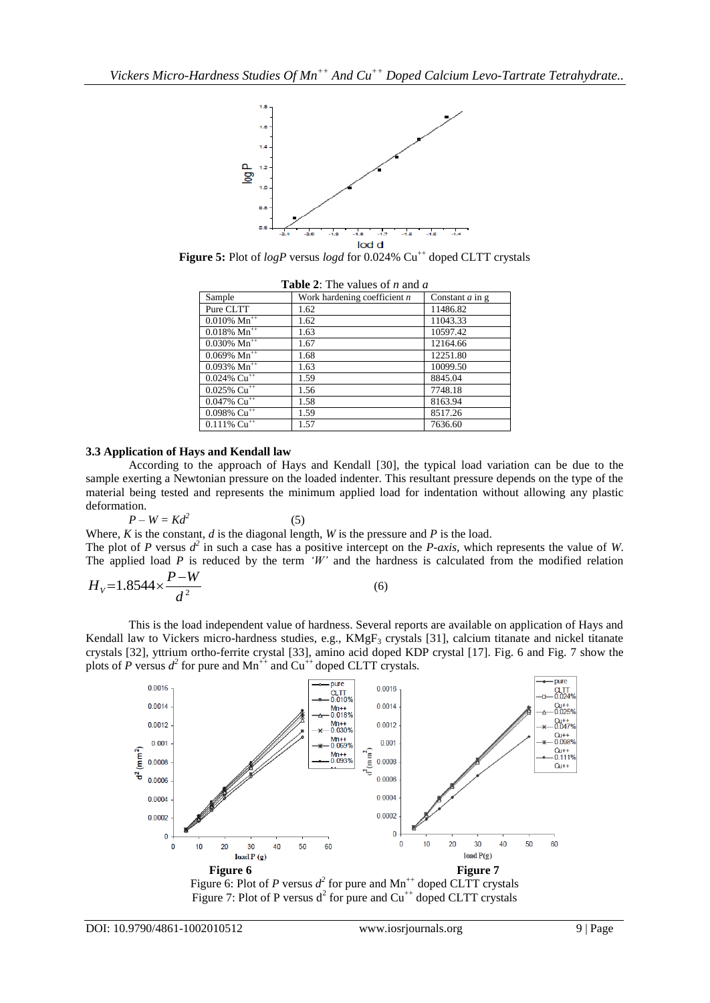

**Figure 5:** Plot of *logP* versus *logd* for 0.024% Cu<sup>++</sup> doped CLTT crystals

| Sample                     | Work hardening coefficient $n$ | Constant $a$ in $g$ |  |  |
|----------------------------|--------------------------------|---------------------|--|--|
| Pure CLTT                  | 1.62                           | 11486.82            |  |  |
| $0.010\% \text{ Mn}^{++}$  | 1.62                           | 11043.33            |  |  |
| $0.018\%$ Mn <sup>++</sup> | 1.63                           | 10597.42            |  |  |
| $0.030\% \text{ Mn}^{++}$  | 1.67                           | 12164.66            |  |  |
| $0.069\%$ Mn <sup>++</sup> | 1.68                           | 12251.80            |  |  |
| $0.093\%$ Mn <sup>++</sup> | 1.63                           | 10099.50            |  |  |
| $0.024\%$ Cu <sup>++</sup> | 1.59                           | 8845.04             |  |  |
| $0.025\%$ Cu <sup>++</sup> | 1.56                           | 7748.18             |  |  |
| $0.047\%$ Cu <sup>++</sup> | 1.58                           | 8163.94             |  |  |
| $0.098\%$ Cu <sup>++</sup> | 1.59                           | 8517.26             |  |  |
| $0.111\%$ Cu <sup>++</sup> | 1.57                           | 7636.60             |  |  |

**Table 2**: The values of *n* and *a*

## **3.3 Application of Hays and Kendall law**

According to the approach of Hays and Kendall [30], the typical load variation can be due to the sample exerting a Newtonian pressure on the loaded indenter. This resultant pressure depends on the type of the material being tested and represents the minimum applied load for indentation without allowing any plastic deformation.

$$
P-W=Kd^2
$$

Where, *K* is the constant, *d* is the diagonal length, *W* is the pressure and *P* is the load.

(5)

The plot of *P* versus  $d^2$  in such a case has a positive intercept on the *P-axis*, which represents the value of *W*. The applied load *P* is reduced by the term *'W'* and the hardness is calculated from the modified relation *P W*

$$
H_v = 1.8544 \times \frac{F - w}{d^2} \tag{6}
$$

This is the load independent value of hardness. Several reports are available on application of Hays and Kendall law to Vickers micro-hardness studies, e.g.,  $KMgF<sub>3</sub>$  crystals [31], calcium titanate and nickel titanate crystals [32], yttrium ortho-ferrite crystal [33], amino acid doped KDP crystal [17]. Fig. 6 and Fig. 7 show the plots of *P* versus  $d^2$  for pure and Mn<sup>++</sup> and Cu<sup>++</sup> doped CLTT crystals.



Figure 6: Plot of *P* versus  $d^2$  for pure and  $Mn^{++}$  doped CLTT crystals Figure 7: Plot of P versus  $d^2$  for pure and  $Cu^{++}$  doped CLTT crystals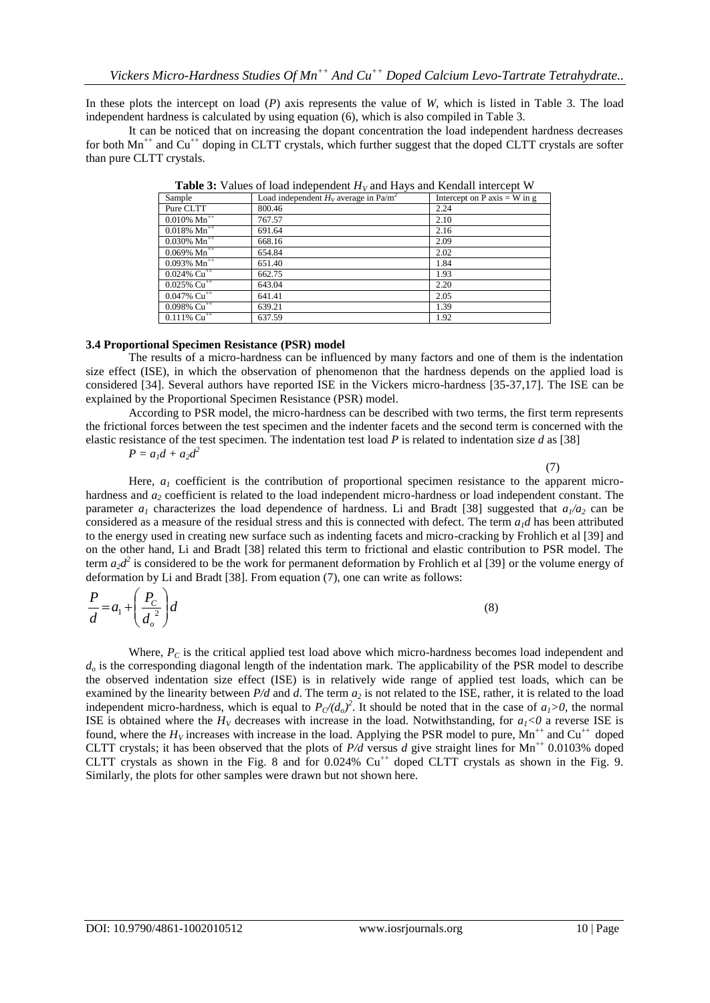In these plots the intercept on load (*P*) axis represents the value of *W*, which is listed in Table 3. The load independent hardness is calculated by using equation (6), which is also compiled in Table 3.

It can be noticed that on increasing the dopant concentration the load independent hardness decreases for both  $Mn^{++}$  and  $Cu^{++}$  doping in CLTT crystals, which further suggest that the doped CLTT crystals are softer than pure CLTT crystals.

| <b>Table 5:</b> Values of load independent $H_V$ and Hays and Kendall intercept w |                                                     |                                |  |  |
|-----------------------------------------------------------------------------------|-----------------------------------------------------|--------------------------------|--|--|
| Sample                                                                            | Load independent $H_V$ average in Pa/m <sup>2</sup> | Intercept on P axis $=$ W in g |  |  |
| Pure CLTT                                                                         | 800.46                                              | 2.24                           |  |  |
| $0.010\% \ \text{Mn}^{++}$                                                        | 767.57                                              | 2.10                           |  |  |
| $0.018\%$ Mn <sup>++</sup>                                                        | 691.64                                              | 2.16                           |  |  |
| $0.030\% \text{ Mn}^{++}$                                                         | 668.16                                              | 2.09                           |  |  |
| $0.069\%$ Mn <sup>++</sup>                                                        | 654.84                                              | 2.02                           |  |  |
| $0.093\%$ Mn <sup>++</sup>                                                        | 651.40                                              | 1.84                           |  |  |
| $0.024\%$ Cu <sup>++</sup>                                                        | 662.75                                              | 1.93                           |  |  |
| $0.025\%$ Cu <sup>++</sup>                                                        | 643.04                                              | 2.20                           |  |  |
| $0.047\% \ \overline{\text{Cu}^{++}}$                                             | 641.41                                              | 2.05                           |  |  |
| $0.098\%$ Cu <sup>++</sup>                                                        | 639.21                                              | 1.39                           |  |  |
| $0.111\% \text{ Cu}^{++}$                                                         | 637.59                                              | 1.92                           |  |  |

**Table 3:** Values of load independent *H<sup>V</sup>* and Hays and Kendall intercept W

### **3.4 Proportional Specimen Resistance (PSR) model**

The results of a micro-hardness can be influenced by many factors and one of them is the indentation size effect (ISE), in which the observation of phenomenon that the hardness depends on the applied load is considered [34]. Several authors have reported ISE in the Vickers micro-hardness [35-37,17]. The ISE can be explained by the Proportional Specimen Resistance (PSR) model.

According to PSR model, the micro-hardness can be described with two terms, the first term represents the frictional forces between the test specimen and the indenter facets and the second term is concerned with the elastic resistance of the test specimen. The indentation test load *P* is related to indentation size *d* as [38]

$$
P = a_1 d + a_2 d^2
$$

 $(7)$ 

Here,  $a<sub>l</sub>$  coefficient is the contribution of proportional specimen resistance to the apparent microhardness and  $a_2$  coefficient is related to the load independent micro-hardness or load independent constant. The parameter  $a_1$  characterizes the load dependence of hardness. Li and Bradt [38] suggested that  $a_1/a_2$  can be considered as a measure of the residual stress and this is connected with defect. The term  $a_1d$  has been attributed to the energy used in creating new surface such as indenting facets and micro-cracking by Frohlich et al [39] and on the other hand, Li and Bradt [38] related this term to frictional and elastic contribution to PSR model. The term  $a_2d^2$  is considered to be the work for permanent deformation by Frohlich et al [39] or the volume energy of deformation by Li and Bradt [38]. From equation (7), one can write as follows:

$$
\frac{P}{d} = a_1 + \left(\frac{P_c}{d_o^2}\right)d
$$
\n(8)

Where,  $P_C$  is the critical applied test load above which micro-hardness becomes load independent and  $d<sub>o</sub>$  is the corresponding diagonal length of the indentation mark. The applicability of the PSR model to describe the observed indentation size effect (ISE) is in relatively wide range of applied test loads, which can be examined by the linearity between *P/d* and *d*. The term *a<sup>2</sup>* is not related to the ISE, rather, it is related to the load independent micro-hardness, which is equal to  $P_C/(d_o)^2$ . It should be noted that in the case of  $a_1>0$ , the normal ISE is obtained where the  $H_V$  decreases with increase in the load. Notwithstanding, for  $a_I < 0$  a reverse ISE is found, where the  $H_V$  increases with increase in the load. Applying the PSR model to pure,  $Mn^{++}$  and  $Cu^{++}$  doped CLTT crystals; it has been observed that the plots of  $P/d$  versus *d* give straight lines for Mn<sup>++</sup> 0.0103% doped CLTT crystals as shown in the Fig. 8 and for  $0.024\%$  Cu<sup>++</sup> doped CLTT crystals as shown in the Fig. 9. Similarly, the plots for other samples were drawn but not shown here.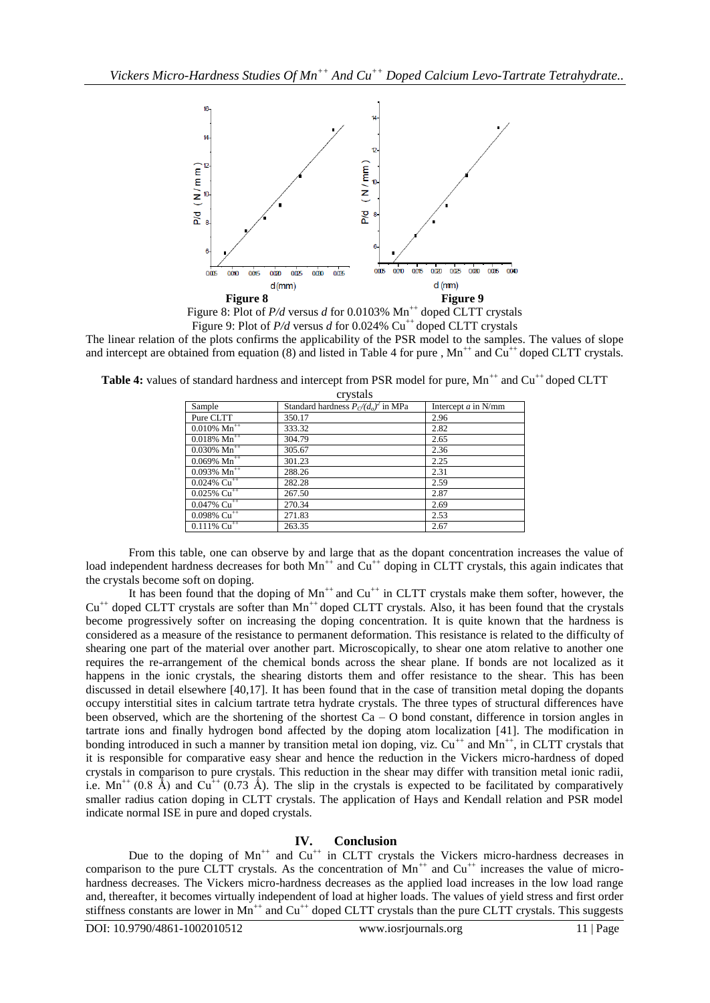

Figure 8: Plot of *P/d versus d for 0.0103%* Mn<sup>++</sup> doped CLTT crystals Figure 9: Plot of  $P/d$  versus *d* for 0.024% Cu<sup>++</sup> doped CLTT crystals

The linear relation of the plots confirms the applicability of the PSR model to the samples. The values of slope and intercept are obtained from equation (8) and listed in Table 4 for pure ,  $Mn^{++}$  and  $Cu^{++}$  doped CLTT crystals.

| CI y Stals                       |                                        |                       |  |  |
|----------------------------------|----------------------------------------|-----------------------|--|--|
| Sample                           | Standard hardness $P_C/(d_o)^2$ in MPa | Intercept $a$ in N/mm |  |  |
| Pure CLTT                        | 350.17                                 | 2.96                  |  |  |
| $0.010\%$ Mn <sup>++</sup>       | 333.32                                 | 2.82                  |  |  |
| $0.018\%$ Mn <sup>++</sup>       | 304.79                                 | 2.65                  |  |  |
| $0.030\% \text{ Mn}^{++}$        | 305.67                                 | 2.36                  |  |  |
| $0.069\%$ Mn <sup>++</sup>       | 301.23                                 | 2.25                  |  |  |
| $0.093\sqrt{Mn^{++}}$            | 288.26                                 | 2.31                  |  |  |
| $0.024\sqrt{6}$ Cu <sup>++</sup> | 282.28                                 | 2.59                  |  |  |
| $0.025\%$ Cu <sup>++</sup>       | 267.50                                 | 2.87                  |  |  |
| $0.047\%$ Cu <sup>++</sup>       | 270.34                                 | 2.69                  |  |  |
| $0.098\%$ Cu <sup>++</sup>       | 271.83                                 | 2.53                  |  |  |
| $0.111\%~ \mathrm{Cu}^{++}$      | 263.35                                 | 2.67                  |  |  |
|                                  |                                        |                       |  |  |

**Table 4:** values of standard hardness and intercept from PSR model for pure, Mn<sup>++</sup> and Cu<sup>++</sup> doped CLTT crystals

From this table, one can observe by and large that as the dopant concentration increases the value of load independent hardness decreases for both Mn<sup>++</sup> and Cu<sup>++</sup> doping in CLTT crystals, this again indicates that the crystals become soft on doping.

It has been found that the doping of  $Mn^{++}$  and  $Cu^{++}$  in CLTT crystals make them softer, however, the  $Cu<sup>++</sup>$  doped CLTT crystals are softer than  $Mn<sup>++</sup>$  doped CLTT crystals. Also, it has been found that the crystals become progressively softer on increasing the doping concentration. It is quite known that the hardness is considered as a measure of the resistance to permanent deformation. This resistance is related to the difficulty of shearing one part of the material over another part. Microscopically, to shear one atom relative to another one requires the re-arrangement of the chemical bonds across the shear plane. If bonds are not localized as it happens in the ionic crystals, the shearing distorts them and offer resistance to the shear. This has been discussed in detail elsewhere [40,17]. It has been found that in the case of transition metal doping the dopants occupy interstitial sites in calcium tartrate tetra hydrate crystals. The three types of structural differences have been observed, which are the shortening of the shortest  $Ca - O$  bond constant, difference in torsion angles in tartrate ions and finally hydrogen bond affected by the doping atom localization [41]. The modification in bonding introduced in such a manner by transition metal ion doping, viz. Cu<sup>++</sup> and Mn<sup>++</sup>, in CLTT crystals that it is responsible for comparative easy shear and hence the reduction in the Vickers micro-hardness of doped crystals in comparison to pure crystals. This reduction in the shear may differ with transition metal ionic radii, i.e.  $Mn^{++}$  (0.8 Å) and Cu<sup>++</sup> (0.73 Å). The slip in the crystals is expected to be facilitated by comparatively smaller radius cation doping in CLTT crystals. The application of Hays and Kendall relation and PSR model indicate normal ISE in pure and doped crystals.

## **IV. Conclusion**

Due to the doping of  $Mn^{++}$  and  $Cu^{++}$  in CLTT crystals the Vickers micro-hardness decreases in comparison to the pure CLTT crystals. As the concentration of  $Mn^{++}$  and  $Cu^{++}$  increases the value of microhardness decreases. The Vickers micro-hardness decreases as the applied load increases in the low load range and, thereafter, it becomes virtually independent of load at higher loads. The values of yield stress and first order stiffness constants are lower in  $Mn^{++}$  and  $Cu^{++}$  doped CLTT crystals than the pure CLTT crystals. This suggests